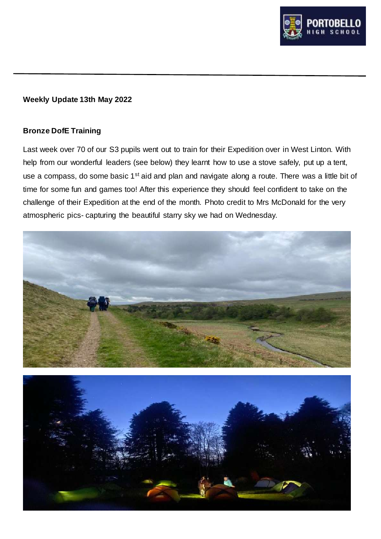

### **Weekly Update 13th May 2022**

## **Bronze DofE Training**

Last week over 70 of our S3 pupils went out to train for their Expedition over in West Linton. With help from our wonderful leaders (see below) they learnt how to use a stove safely, put up a tent, use a compass, do some basic 1<sup>st</sup> aid and plan and navigate along a route. There was a little bit of time for some fun and games too! After this experience they should feel confident to take on the challenge of their Expedition at the end of the month. Photo credit to Mrs McDonald for the very atmospheric pics- capturing the beautiful starry sky we had on Wednesday.



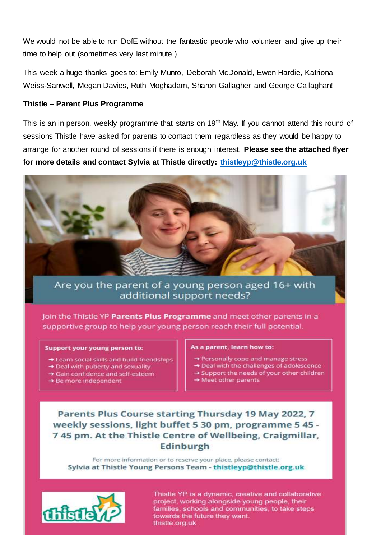We would not be able to run DofE without the fantastic people who volunteer and give up their time to help out (sometimes very last minute!)

This week a huge thanks goes to: Emily Munro, Deborah McDonald, Ewen Hardie, Katriona Weiss-Sanwell, Megan Davies, Ruth Moghadam, Sharon Gallagher and George Callaghan!

## Thistle - Parent Plus Programme

This is an in person, weekly programme that starts on 19<sup>th</sup> May. If you cannot attend this round of sessions Thistle have asked for parents to contact them regardless as they would be happy to arrange for another round of sessions if there is enough interest. Please see the attached flyer for more details and contact Sylvia at Thistle directly: thistleyp@thistle.org.uk



# Are you the parent of a young person aged 16+ with additional support needs?

Join the Thistle YP Parents Plus Programme and meet other parents in a supportive group to help your young person reach their full potential.

#### Support your young person to:

- > Learn social skills and build friendships
- > Deal with puberty and sexuality
- Sain confidence and self-esteem
- → Be more independent

#### As a parent, learn how to:

- → Personally cope and manage stress
- > Deal with the challenges of adolescence
- Support the needs of your other children
- → Meet other parents

# Parents Plus Course starting Thursday 19 May 2022, 7 weekly sessions, light buffet 5 30 pm, programme 5 45 -745 pm. At the Thistle Centre of Wellbeing, Craigmillar, Edinburgh

For more information or to reserve your place, please contact: Sylvia at Thistle Young Persons Team - thistleyp@thistle.org.uk



Thistle YP is a dynamic, creative and collaborative project, working alongside young people, their families, schools and communities, to take steps towards the future they want. thistle.org.uk